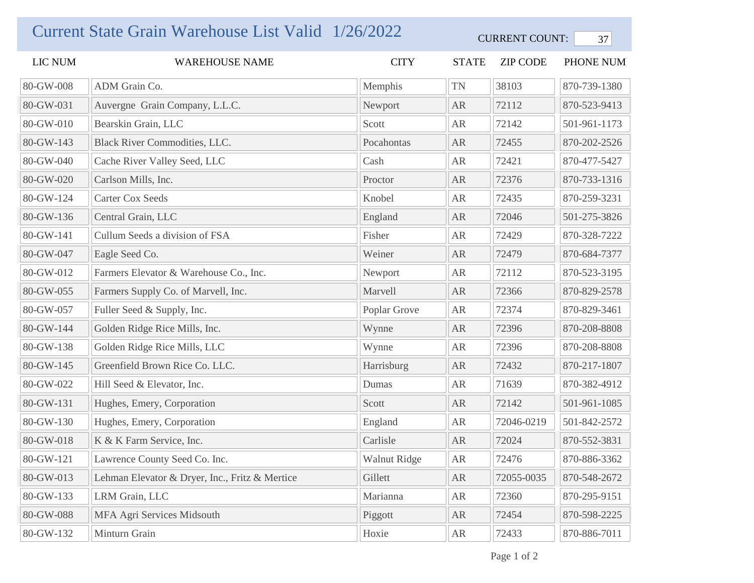## Current State Grain Warehouse List Valid 1/26/2022 CURRENT COUNT: 37

| LIC NUM   | WAREHOUSE NAME                                 | <b>CITY</b>  | <b>STATE</b> | <b>ZIP CODE</b> | PHONE NUM    |
|-----------|------------------------------------------------|--------------|--------------|-----------------|--------------|
| 80-GW-008 | ADM Grain Co.                                  | Memphis      | <b>TN</b>    | 38103           | 870-739-1380 |
| 80-GW-031 | Auvergne Grain Company, L.L.C.                 | Newport      | <b>AR</b>    | 72112           | 870-523-9413 |
| 80-GW-010 | Bearskin Grain, LLC                            | Scott        | AR           | 72142           | 501-961-1173 |
| 80-GW-143 | <b>Black River Commodities, LLC.</b>           | Pocahontas   | <b>AR</b>    | 72455           | 870-202-2526 |
| 80-GW-040 | Cache River Valley Seed, LLC                   | Cash         | AR           | 72421           | 870-477-5427 |
| 80-GW-020 | Carlson Mills, Inc.                            | Proctor      | <b>AR</b>    | 72376           | 870-733-1316 |
| 80-GW-124 | <b>Carter Cox Seeds</b>                        | Knobel       | ${\sf AR}$   | 72435           | 870-259-3231 |
| 80-GW-136 | Central Grain, LLC                             | England      | <b>AR</b>    | 72046           | 501-275-3826 |
| 80-GW-141 | Cullum Seeds a division of FSA                 | Fisher       | AR           | 72429           | 870-328-7222 |
| 80-GW-047 | Eagle Seed Co.                                 | Weiner       | AR           | 72479           | 870-684-7377 |
| 80-GW-012 | Farmers Elevator & Warehouse Co., Inc.         | Newport      | ${\sf AR}$   | 72112           | 870-523-3195 |
| 80-GW-055 | Farmers Supply Co. of Marvell, Inc.            | Marvell      | AR           | 72366           | 870-829-2578 |
| 80-GW-057 | Fuller Seed & Supply, Inc.                     | Poplar Grove | AR           | 72374           | 870-829-3461 |
| 80-GW-144 | Golden Ridge Rice Mills, Inc.                  | Wynne        | AR           | 72396           | 870-208-8808 |
| 80-GW-138 | Golden Ridge Rice Mills, LLC                   | Wynne        | AR           | 72396           | 870-208-8808 |
| 80-GW-145 | Greenfield Brown Rice Co. LLC.                 | Harrisburg   | AR           | 72432           | 870-217-1807 |
| 80-GW-022 | Hill Seed & Elevator, Inc.                     | Dumas        | AR           | 71639           | 870-382-4912 |
| 80-GW-131 | Hughes, Emery, Corporation                     | Scott        | <b>AR</b>    | 72142           | 501-961-1085 |
| 80-GW-130 | Hughes, Emery, Corporation                     | England      | AR           | 72046-0219      | 501-842-2572 |
| 80-GW-018 | K & K Farm Service, Inc.                       | Carlisle     | ${\sf AR}$   | 72024           | 870-552-3831 |
| 80-GW-121 | Lawrence County Seed Co. Inc.                  | Walnut Ridge | ${\sf AR}$   | 72476           | 870-886-3362 |
| 80-GW-013 | Lehman Elevator & Dryer, Inc., Fritz & Mertice | Gillett      | ${\sf AR}$   | 72055-0035      | 870-548-2672 |
| 80-GW-133 | LRM Grain, LLC                                 | Marianna     | ${\sf AR}$   | 72360           | 870-295-9151 |
| 80-GW-088 | MFA Agri Services Midsouth                     | Piggott      | ${\sf AR}$   | 72454           | 870-598-2225 |
| 80-GW-132 | Minturn Grain                                  | Hoxie        | AR           | 72433           | 870-886-7011 |